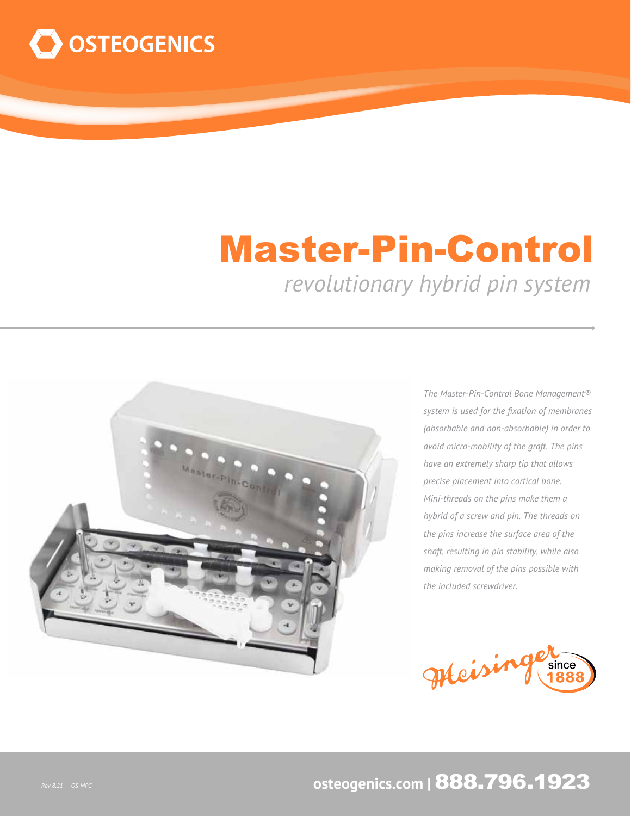

## Master-Pin-Control

*revolutionary hybrid pin system*



*The Master-Pin-Control Bone Management® system is used for the fixation of membranes (absorbable and non-absorbable) in order to avoid micro-mobility of the graft. The pins have an extremely sharp tip that allows precise placement into cortical bone. Mini-threads on the pins make them a hybrid of a screw and pin. The threads on the pins increase the surface area of the shaft, resulting in pin stability, while also making removal of the pins possible with the included screwdriver.*



## **osteogenics.com |** 888.796.1923